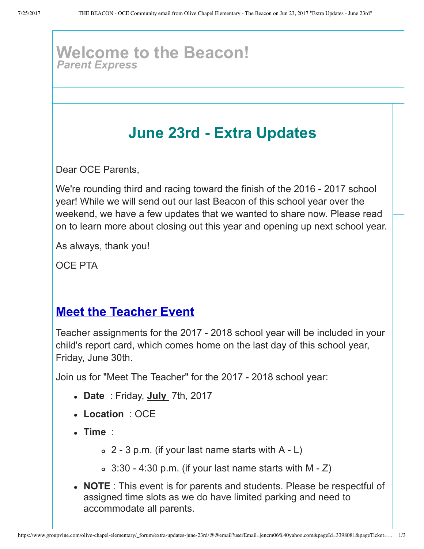#### **Welcome to the Beacon!** *Parent Express*

# **June 23rd Extra Updates**

Dear OCE Parents,

We're rounding third and racing toward the finish of the 2016 - 2017 school year! While we will send out our last Beacon of this school year over the weekend, we have a few updates that we wanted to share now. Please read on to learn more about closing out this year and opening up next school year.

As always, thank you!

OCE PTA

### **Meet the Teacher Event**

Teacher assignments for the 2017 2018 school year will be included in your child's report card, which comes home on the last day of this school year, Friday, June 30th.

Join us for "Meet The Teacher" for the 2017 2018 school year:

- **Date** : Friday, **July**  7th, 2017
- **Location** : OCE
- **Time** :
	- $\circ$  2 3 p.m. (if your last name starts with A L)
	- $\circ$  3:30 4:30 p.m. (if your last name starts with M Z)
- **NOTE** : This event is for parents and students. Please be respectful of assigned time slots as we do have limited parking and need to accommodate all parents.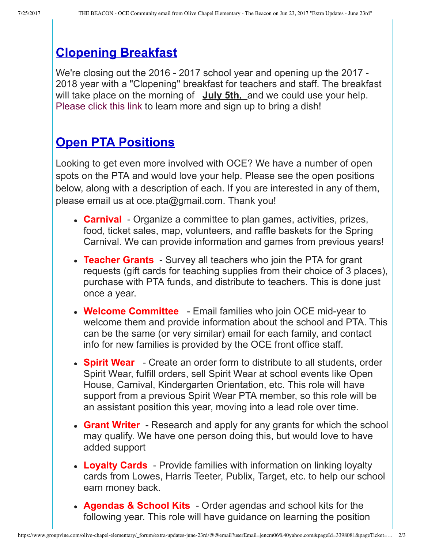## **Clopening Breakfast**

We're closing out the 2016 - 2017 school year and opening up the 2017 -2018 year with a "Clopening" breakfast for teachers and staff. The breakfast will take place on the morning of **July 5th**, and we could use your help. [Please click this link](http://www.signupgenius.com/go/20f0a44a4aa29a75-clopening) to learn more and sign up to bring a dish!

## **Open PTA Positions**

Looking to get even more involved with OCE? We have a number of open spots on the PTA and would love your help. Please see the open positions below, along with a description of each. If you are interested in any of them, please email us at oce.pta@gmail.com. Thank you!

- **Carnival** Organize a committee to plan games, activities, prizes, food, ticket sales, map, volunteers, and raffle baskets for the Spring Carnival. We can provide information and games from previous years!
- Teacher Grants Survey all teachers who join the PTA for grant requests (gift cards for teaching supplies from their choice of 3 places), purchase with PTA funds, and distribute to teachers. This is done just once a year.
- Welcome Committee Email families who join OCE mid-year to welcome them and provide information about the school and PTA. This can be the same (or very similar) email for each family, and contact info for new families is provided by the OCE front office staff.
- **Spirit Wear** Create an order form to distribute to all students, order Spirit Wear, fulfill orders, sell Spirit Wear at school events like Open House, Carnival, Kindergarten Orientation, etc. This role will have support from a previous Spirit Wear PTA member, so this role will be an assistant position this year, moving into a lead role over time.
- **Grant Writer** Research and apply for any grants for which the school may qualify. We have one person doing this, but would love to have added support
- **Loyalty Cards** Provide families with information on linking loyalty cards from Lowes, Harris Teeter, Publix, Target, etc. to help our school earn money back.
- **Agendas & School Kits** Order agendas and school kits for the following year. This role will have guidance on learning the position